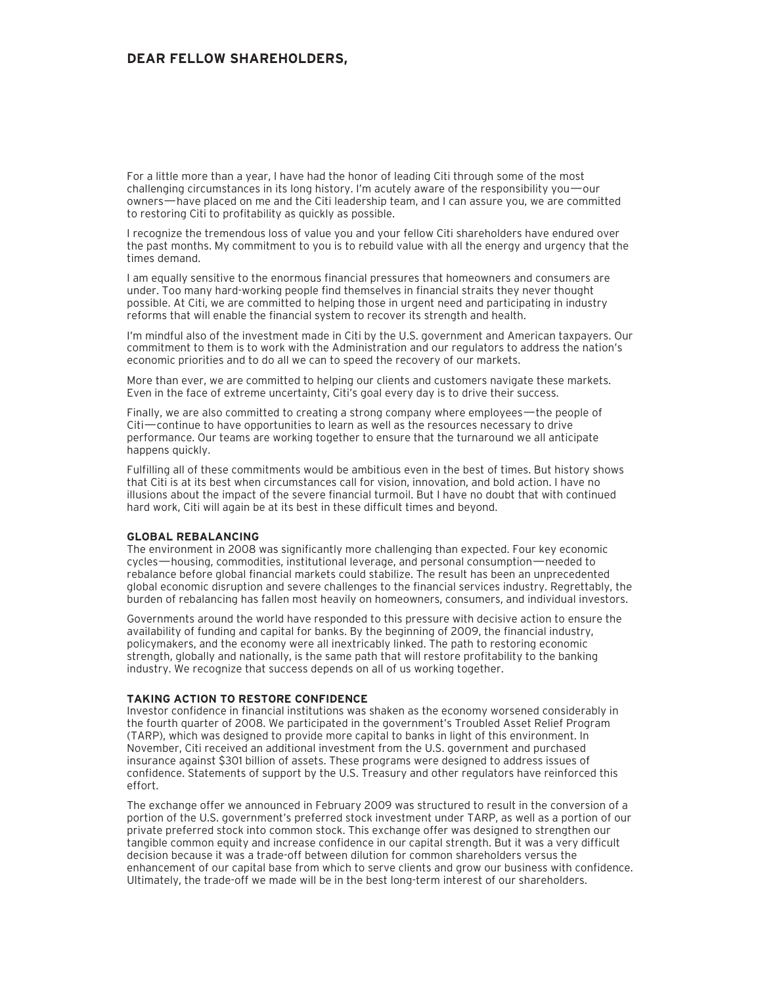# **DEAR FELLOW SHAREHOLDERS,**

For a little more than a year, I have had the honor of leading Citi through some of the most challenging circumstances in its long history. I'm acutely aware of the responsibility you—our owners—have placed on me and the Citi leadership team, and I can assure you, we are committed to restoring Citi to profitability as quickly as possible.

I recognize the tremendous loss of value you and your fellow Citi shareholders have endured over the past months. My commitment to you is to rebuild value with all the energy and urgency that the times demand.

I am equally sensitive to the enormous financial pressures that homeowners and consumers are under. Too many hard-working people find themselves in financial straits they never thought possible. At Citi, we are committed to helping those in urgent need and participating in industry reforms that will enable the financial system to recover its strength and health.

I'm mindful also of the investment made in Citi by the U.S. government and American taxpayers. Our commitment to them is to work with the Administration and our regulators to address the nation's economic priorities and to do all we can to speed the recovery of our markets.

More than ever, we are committed to helping our clients and customers navigate these markets. Even in the face of extreme uncertainty, Citi's goal every day is to drive their success.

Finally, we are also committed to creating a strong company where employees—the people of Citi—continue to have opportunities to learn as well as the resources necessary to drive performance. Our teams are working together to ensure that the turnaround we all anticipate happens quickly.

Fulfilling all of these commitments would be ambitious even in the best of times. But history shows that Citi is at its best when circumstances call for vision, innovation, and bold action. I have no illusions about the impact of the severe financial turmoil. But I have no doubt that with continued hard work, Citi will again be at its best in these difficult times and beyond.

# **GLOBAL REBALANCING**

The environment in 2008 was significantly more challenging than expected. Four key economic cycles—housing, commodities, institutional leverage, and personal consumption—needed to rebalance before global financial markets could stabilize. The result has been an unprecedented global economic disruption and severe challenges to the financial services industry. Regrettably, the burden of rebalancing has fallen most heavily on homeowners, consumers, and individual investors.

Governments around the world have responded to this pressure with decisive action to ensure the availability of funding and capital for banks. By the beginning of 2009, the financial industry, policymakers, and the economy were all inextricably linked. The path to restoring economic strength, globally and nationally, is the same path that will restore profitability to the banking industry. We recognize that success depends on all of us working together.

### **TAKING ACTION TO RESTORE CONFIDENCE**

Investor confidence in financial institutions was shaken as the economy worsened considerably in the fourth quarter of 2008. We participated in the government's Troubled Asset Relief Program (TARP), which was designed to provide more capital to banks in light of this environment. In November, Citi received an additional investment from the U.S. government and purchased insurance against \$301 billion of assets. These programs were designed to address issues of confidence. Statements of support by the U.S. Treasury and other regulators have reinforced this effort.

The exchange offer we announced in February 2009 was structured to result in the conversion of a portion of the U.S. government's preferred stock investment under TARP, as well as a portion of our private preferred stock into common stock. This exchange offer was designed to strengthen our tangible common equity and increase confidence in our capital strength. But it was a very difficult decision because it was a trade-off between dilution for common shareholders versus the enhancement of our capital base from which to serve clients and grow our business with confidence. Ultimately, the trade-off we made will be in the best long-term interest of our shareholders.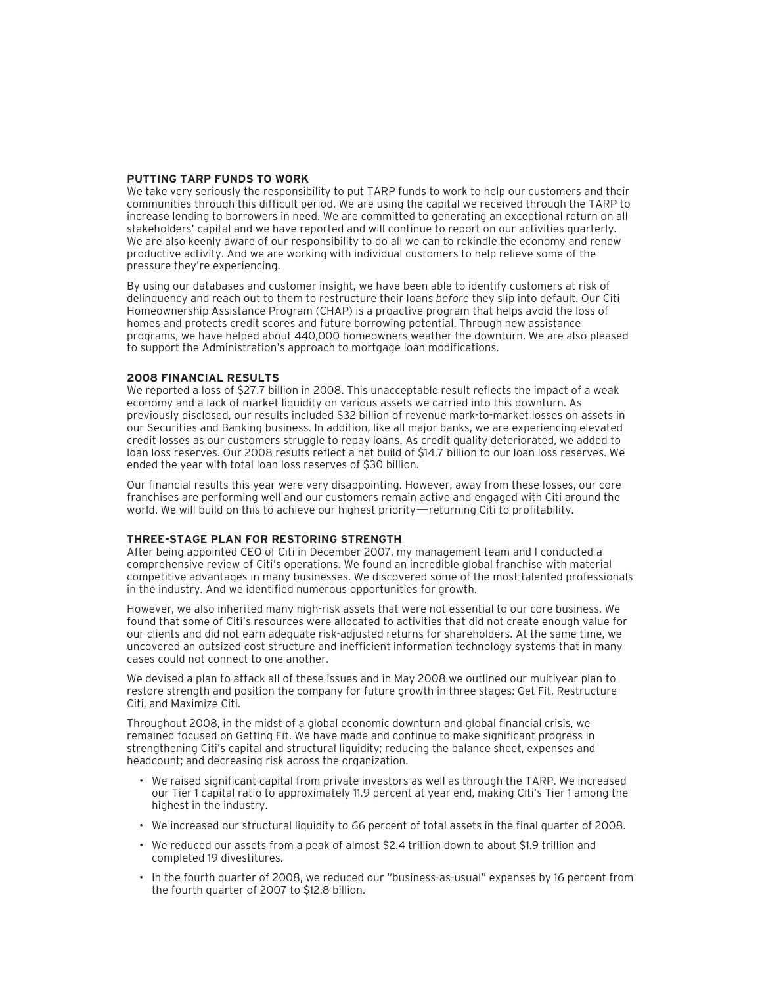# **PUTTING TARP FUNDS TO WORK**

We take very seriously the responsibility to put TARP funds to work to help our customers and their communities through this difficult period. We are using the capital we received through the TARP to increase lending to borrowers in need. We are committed to generating an exceptional return on all stakeholders' capital and we have reported and will continue to report on our activities quarterly. We are also keenly aware of our responsibility to do all we can to rekindle the economy and renew productive activity. And we are working with individual customers to help relieve some of the pressure they're experiencing.

By using our databases and customer insight, we have been able to identify customers at risk of delinquency and reach out to them to restructure their loans *before* they slip into default. Our Citi Homeownership Assistance Program (CHAP) is a proactive program that helps avoid the loss of homes and protects credit scores and future borrowing potential. Through new assistance programs, we have helped about 440,000 homeowners weather the downturn. We are also pleased to support the Administration's approach to mortgage loan modifications.

#### **2008 FINANCIAL RESULTS**

We reported a loss of \$27.7 billion in 2008. This unacceptable result reflects the impact of a weak economy and a lack of market liquidity on various assets we carried into this downturn. As previously disclosed, our results included \$32 billion of revenue mark-to-market losses on assets in our Securities and Banking business. In addition, like all major banks, we are experiencing elevated credit losses as our customers struggle to repay loans. As credit quality deteriorated, we added to loan loss reserves. Our 2008 results reflect a net build of \$14.7 billion to our loan loss reserves. We ended the year with total loan loss reserves of \$30 billion.

Our financial results this year were very disappointing. However, away from these losses, our core franchises are performing well and our customers remain active and engaged with Citi around the world. We will build on this to achieve our highest priority—returning Citi to profitability.

## **THREE-STAGE PLAN FOR RESTORING STRENGTH**

After being appointed CEO of Citi in December 2007, my management team and I conducted a comprehensive review of Citi's operations. We found an incredible global franchise with material competitive advantages in many businesses. We discovered some of the most talented professionals in the industry. And we identified numerous opportunities for growth.

However, we also inherited many high-risk assets that were not essential to our core business. We found that some of Citi's resources were allocated to activities that did not create enough value for our clients and did not earn adequate risk-adjusted returns for shareholders. At the same time, we uncovered an outsized cost structure and inefficient information technology systems that in many cases could not connect to one another.

We devised a plan to attack all of these issues and in May 2008 we outlined our multiyear plan to restore strength and position the company for future growth in three stages: Get Fit, Restructure Citi, and Maximize Citi.

Throughout 2008, in the midst of a global economic downturn and global financial crisis, we remained focused on Getting Fit. We have made and continue to make significant progress in strengthening Citi's capital and structural liquidity; reducing the balance sheet, expenses and headcount; and decreasing risk across the organization.

- We raised significant capital from private investors as well as through the TARP. We increased our Tier 1 capital ratio to approximately 11.9 percent at year end, making Citi's Tier 1 among the highest in the industry.
- We increased our structural liquidity to 66 percent of total assets in the final quarter of 2008.
- We reduced our assets from a peak of almost \$2.4 trillion down to about \$1.9 trillion and completed 19 divestitures.
- In the fourth quarter of 2008, we reduced our "business-as-usual" expenses by 16 percent from the fourth quarter of 2007 to \$12.8 billion.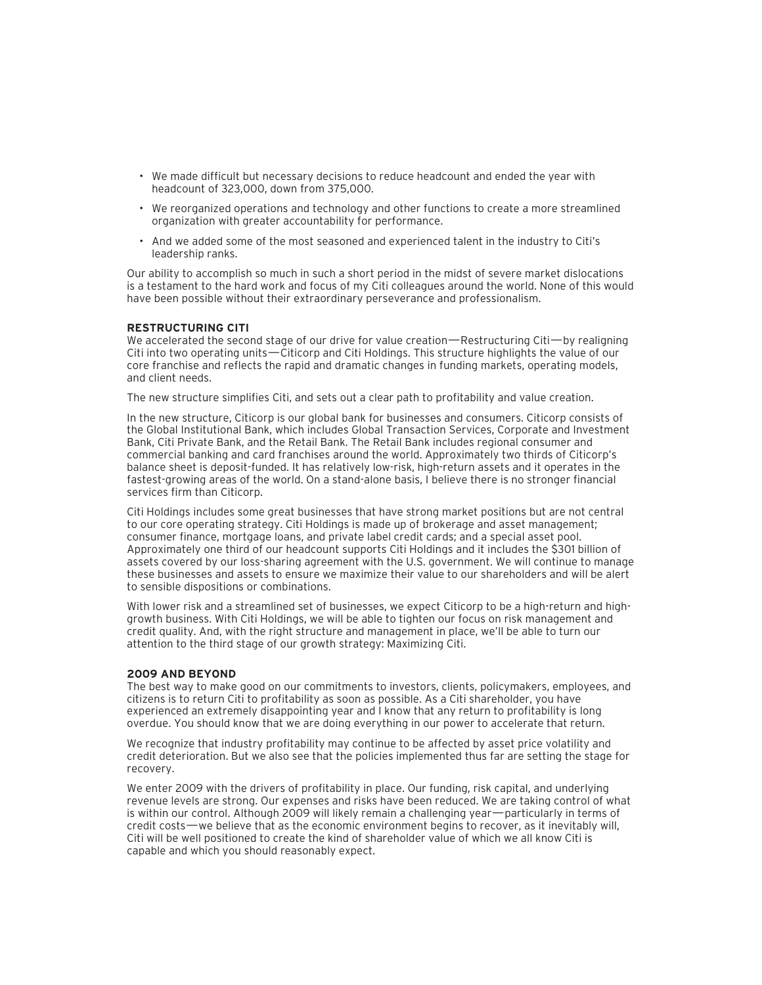- We made difficult but necessary decisions to reduce headcount and ended the year with headcount of 323,000, down from 375,000.
- We reorganized operations and technology and other functions to create a more streamlined organization with greater accountability for performance.
- And we added some of the most seasoned and experienced talent in the industry to Citi's leadership ranks.

Our ability to accomplish so much in such a short period in the midst of severe market dislocations is a testament to the hard work and focus of my Citi colleagues around the world. None of this would have been possible without their extraordinary perseverance and professionalism.

## **RESTRUCTURING CITI**

We accelerated the second stage of our drive for value creation—Restructuring Citi—by realigning Citi into two operating units—Citicorp and Citi Holdings. This structure highlights the value of our core franchise and reflects the rapid and dramatic changes in funding markets, operating models, and client needs.

The new structure simplifies Citi, and sets out a clear path to profitability and value creation.

In the new structure, Citicorp is our global bank for businesses and consumers. Citicorp consists of the Global Institutional Bank, which includes Global Transaction Services, Corporate and Investment Bank, Citi Private Bank, and the Retail Bank. The Retail Bank includes regional consumer and commercial banking and card franchises around the world. Approximately two thirds of Citicorp's balance sheet is deposit-funded. It has relatively low-risk, high-return assets and it operates in the fastest-growing areas of the world. On a stand-alone basis, I believe there is no stronger financial services firm than Citicorp.

Citi Holdings includes some great businesses that have strong market positions but are not central to our core operating strategy. Citi Holdings is made up of brokerage and asset management; consumer finance, mortgage loans, and private label credit cards; and a special asset pool. Approximately one third of our headcount supports Citi Holdings and it includes the \$301 billion of assets covered by our loss-sharing agreement with the U.S. government. We will continue to manage these businesses and assets to ensure we maximize their value to our shareholders and will be alert to sensible dispositions or combinations.

With lower risk and a streamlined set of businesses, we expect Citicorp to be a high-return and highgrowth business. With Citi Holdings, we will be able to tighten our focus on risk management and credit quality. And, with the right structure and management in place, we'll be able to turn our attention to the third stage of our growth strategy: Maximizing Citi.

#### **2009 AND BEYOND**

The best way to make good on our commitments to investors, clients, policymakers, employees, and citizens is to return Citi to profitability as soon as possible. As a Citi shareholder, you have experienced an extremely disappointing year and I know that any return to profitability is long overdue. You should know that we are doing everything in our power to accelerate that return.

We recognize that industry profitability may continue to be affected by asset price volatility and credit deterioration. But we also see that the policies implemented thus far are setting the stage for recovery.

We enter 2009 with the drivers of profitability in place. Our funding, risk capital, and underlying revenue levels are strong. Our expenses and risks have been reduced. We are taking control of what is within our control. Although 2009 will likely remain a challenging year—particularly in terms of credit costs—we believe that as the economic environment begins to recover, as it inevitably will, Citi will be well positioned to create the kind of shareholder value of which we all know Citi is capable and which you should reasonably expect.